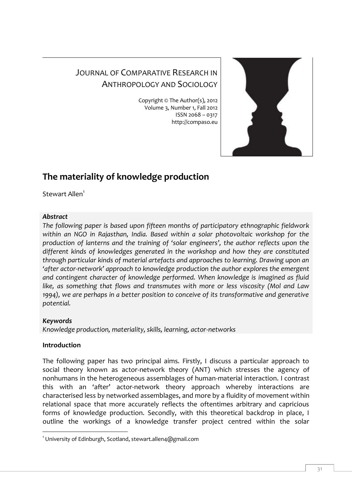# JOURNAL OF COMPARATIVE RESEARCH IN ANTHROPOLOGY AND SOCIOLOGY

Copyright © The Author(s), 2012 Volume 3, Number 1, Fall 2012 ISSN 2068 – 0317 http://compaso.eu



## **The materiality of knowledge production**

Stewart Allen<sup>1</sup>

## *Abstract*

*The following paper is based upon fifteen months of participatory ethnographic fieldwork within an NGO in Rajasthan, India. Based within a solar photovoltaic workshop for the production of lanterns and the training of 'solar engineers', the author reflects upon the different kinds of knowledges generated in the workshop and how they are constituted through particular kinds of material artefacts and approaches to learning. Drawing upon an 'after actor-network' approach to knowledge production the author explores the emergent and contingent character of knowledge performed. When knowledge is imagined as fluid like, as something that flows and transmutes with more or less viscosity (Mol and Law 1994), we are perhaps in a better position to conceive of its transformative and generative potential.*

## *Keywords*

*Knowledge production, materiality, skills, learning, actor-networks*

## **Introduction**

The following paper has two principal aims. Firstly, I discuss a particular approach to social theory known as actor-network theory (ANT) which stresses the agency of nonhumans in the heterogeneous assemblages of human-material interaction. I contrast this with an 'after' actor-network theory approach whereby interactions are characterised less by networked assemblages, and more by a fluidity of movement within relational space that more accurately reflects the oftentimes arbitrary and capricious forms of knowledge production. Secondly, with this theoretical backdrop in place, I outline the workings of a knowledge transfer project centred within the solar

<sup>-</sup><sup>1</sup> University of Edinburgh, Scotland, stewart.allen4@gmail.com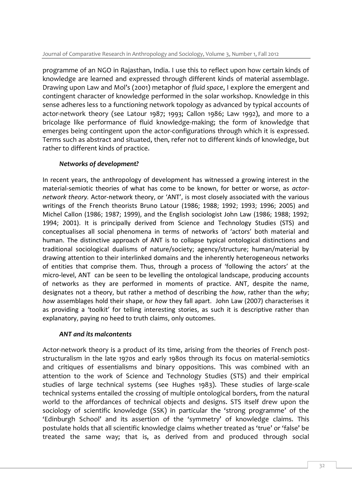programme of an NGO in Rajasthan, India. I use this to reflect upon how certain kinds of knowledge are learned and expressed through different kinds of material assemblage. Drawing upon Law and Mol's (2001) metaphor of *fluid space*, I explore the emergent and contingent character of knowledge performed in the solar workshop. Knowledge in this sense adheres less to a functioning network topology as advanced by typical accounts of actor-network theory (see Latour 1987; 1993; Callon 1986; Law 1992), and more to a bricolage like performance of fluid knowledge-making; the form of knowledge that emerges being contingent upon the actor-configurations through which it is expressed. Terms such as abstract and situated, then, refer not to different kinds of knowledge, but rather to different kinds of practice.

#### *Networks of development?*

In recent years, the anthropology of development has witnessed a growing interest in the material-semiotic theories of what has come to be known, for better or worse, as *actornetwork theory.* Actor-network theory, or 'ANT', is most closely associated with the various writings of the French theorists Bruno Latour (1986; 1988; 1992; 1993; 1996; 2005) and Michel Callon (1986; 1987; 1999), and the English sociologist John Law (1986; 1988; 1992; 1994; 2001). It is principally derived from Science and Technology Studies (STS) and conceptualises all social phenomena in terms of networks of 'actors' both material and human. The distinctive approach of ANT is to collapse typical ontological distinctions and traditional sociological dualisms of nature/society; agency/structure; human/material by drawing attention to their interlinked domains and the inherently heterogeneous networks of entities that comprise them. Thus, through a process of 'following the actors' at the micro-level, ANT can be seen to be levelling the ontological landscape, producing accounts of networks as they are performed in moments of practice. ANT, despite the name, designates not a theory, but rather a method of describing the *how*, rather than the *why*; *how* assemblages hold their shape, or *how* they fall apart. John Law (2007) characterises it as providing a 'toolkit' for telling interesting stories, as such it is descriptive rather than explanatory, paying no heed to truth claims, only outcomes.

## *ANT and its malcontents*

Actor-network theory is a product of its time, arising from the theories of French poststructuralism in the late 1970s and early 1980s through its focus on material-semiotics and critiques of essentialisms and binary oppositions. This was combined with an attention to the work of Science and Technology Studies (STS) and their empirical studies of large technical systems (see Hughes 1983). These studies of large-scale technical systems entailed the crossing of multiple ontological borders, from the natural world to the affordances of technical objects and designs. STS itself drew upon the sociology of scientific knowledge (SSK) in particular the 'strong programme' of the 'Edinburgh School' and its assertion of the 'symmetry' of knowledge claims. This postulate holds that all scientific knowledge claims whether treated as 'true' or 'false' be treated the same way; that is, as derived from and produced through social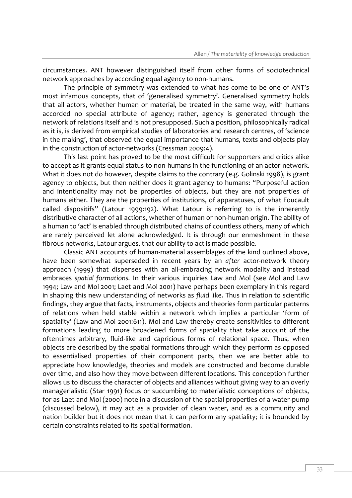circumstances. ANT however distinguished itself from other forms of sociotechnical network approaches by according equal agency to non-humans.

The principle of symmetry was extended to what has come to be one of ANT's most infamous concepts, that of 'generalised symmetry'. Generalised symmetry holds that all actors, whether human or material, be treated in the same way, with humans accorded no special attribute of agency; rather, agency is generated through the network of relations itself and is not presupposed. Such a position, philosophically radical as it is, is derived from empirical studies of laboratories and research centres, of 'science in the making', that observed the equal importance that humans, texts and objects play in the construction of actor-networks (Cressman 2009:4).

This last point has proved to be the most difficult for supporters and critics alike to accept as it grants equal status to non-humans in the functioning of an actor-network. What it does not do however, despite claims to the contrary (e.g. Golinski 1998), is grant agency to objects, but then neither does it grant agency to humans: "Purposeful action and intentionality may not be properties of objects, but they are not properties of humans either. They are the properties of institutions, of apparatuses, of what Foucault called dispositifs" (Latour 1999:192). What Latour is referring to is the inherently distributive character of all actions, whether of human or non-human origin. The ability of a human to 'act' is enabled through distributed chains of countless others, many of which are rarely perceived let alone acknowledged. It is through our enmeshment in these fibrous networks, Latour argues, that our ability to act is made possible.

Classic ANT accounts of human-material assemblages of the kind outlined above, have been somewhat superseded in recent years by an *after* actor-network theory approach (1999) that dispenses with an all-embracing network modality and instead embraces *spatial formations.* In their various inquiries Law and Mol (see Mol and Law 1994; Law and Mol 2001; Laet and Mol 2001) have perhaps been exemplary in this regard in shaping this new understanding of networks as *fluid* like. Thus in relation to scientific findings, they argue that facts, instruments, objects and theories form particular patterns of relations when held stable within a network which implies a particular 'form of spatiality' (Law and Mol 2001:611). Mol and Law thereby create sensitivities to different formations leading to more broadened forms of spatiality that take account of the oftentimes arbitrary, fluid-like and capricious forms of relational space. Thus, when objects are described by the spatial formations through which they perform as opposed to essentialised properties of their component parts, then we are better able to appreciate how knowledge, theories and models are constructed and become durable over time, and also how they move between different locations. This conception further allows us to discuss the character of objects and alliances without giving way to an overly managerialistic (Star 1991) focus or succumbing to materialistic conceptions of objects, for as Laet and Mol (2000) note in a discussion of the spatial properties of a water-pump (discussed below), it may act as a provider of clean water, and as a community and nation builder but it does not mean that it can perform any spatiality; it is bounded by certain constraints related to its spatial formation.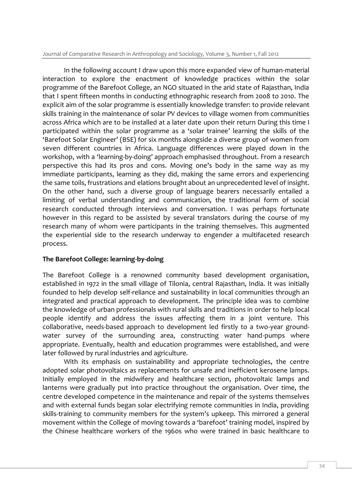Journal of Comparative Research in Anthropology and Sociology, Volume 3, Number 1, Fall 2012

In the following account I draw upon this more expanded view of human-material interaction to explore the enactment of knowledge practices within the solar programme of the Barefoot College, an NGO situated in the arid state of Rajasthan, India that I spent fifteen months in conducting ethnographic research from 2008 to 2010. The explicit aim of the solar programme is essentially knowledge transfer: to provide relevant skills training in the maintenance of solar PV devices to village women from communities across Africa which are to be installed at a later date upon their return During this time I participated within the solar programme as a 'solar trainee' learning the skills of the 'Barefoot Solar Engineer' (BSE) for six months alongside a diverse group of women from seven different countries in Africa. Language differences were played down in the workshop, with a 'learning-by-doing' approach emphasised throughout. From a research perspective this had its pros and cons. Moving one's body in the same way as my immediate participants, learning as they did, making the same errors and experiencing the same toils, frustrations and elations brought about an unprecedented level of insight. On the other hand, such a diverse group of language bearers necessarily entailed a limiting of verbal understanding and communication, the traditional form of social research conducted through interviews and conversation. I was perhaps fortunate however in this regard to be assisted by several translators during the course of my research many of whom were participants in the training themselves. This augmented the experiential side to the research underway to engender a multifaceted research process.

## **The Barefoot College: learning-by-doing**

The Barefoot College is a renowned community based development organisation, established in 1972 in the small village of Tilonia, central Rajasthan, India. It was initially founded to help develop self-reliance and sustainability in local communities through an integrated and practical approach to development. The principle idea was to combine the knowledge of urban professionals with rural skills and traditions in order to help local people identify and address the issues affecting them in a joint venture. This collaborative, needs-based approach to development led firstly to a two-year groundwater survey of the surrounding area, constructing water hand-pumps where appropriate. Eventually, health and education programmes were established, and were later followed by rural industries and agriculture.

With its emphasis on sustainability and appropriate technologies, the centre adopted solar photovoltaics as replacements for unsafe and inefficient kerosene lamps. Initially employed in the midwifery and healthcare section, photovoltaic lamps and lanterns were gradually put into practice throughout the organisation. Over time, the centre developed competence in the maintenance and repair of the systems themselves and with external funds began solar electrifying remote communities in India, providing skills-training to community members for the system's upkeep. This mirrored a general movement within the College of moving towards a 'barefoot' training model, inspired by the Chinese healthcare workers of the 1960s who were trained in basic healthcare to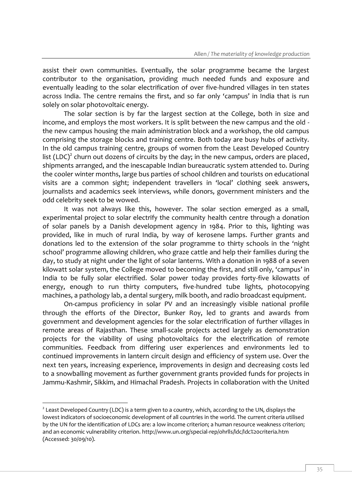assist their own communities. Eventually, the solar programme became the largest contributor to the organisation, providing much needed funds and exposure and eventually leading to the solar electrification of over five-hundred villages in ten states across India. The centre remains the first, and so far only 'campus' in India that is run solely on solar photovoltaic energy.

The solar section is by far the largest section at the College, both in size and income, and employs the most workers. It is split between the new campus and the old the new campus housing the main administration block and a workshop, the old campus comprising the storage blocks and training centre. Both today are busy hubs of activity. In the old campus training centre, groups of women from the Least Developed Country list  $(LDC)^2$  churn out dozens of circuits by the day; in the new campus, orders are placed, shipments arranged, and the inescapable Indian bureaucratic system attended to. During the cooler winter months, large bus parties of school children and tourists on educational visits are a common sight; independent travellers in 'local' clothing seek answers, journalists and academics seek interviews, while donors, government ministers and the odd celebrity seek to be wowed.

It was not always like this, however. The solar section emerged as a small, experimental project to solar electrify the community health centre through a donation of solar panels by a Danish development agency in 1984. Prior to this, lighting was provided, like in much of rural India, by way of kerosene lamps. Further grants and donations led to the extension of the solar programme to thirty schools in the 'night school' programme allowing children, who graze cattle and help their families during the day, to study at night under the light of solar lanterns. With a donation in 1988 of a seven kilowatt solar system, the College moved to becoming the first, and still only, 'campus' in India to be fully solar electrified. Solar power today provides forty-five kilowatts of energy, enough to run thirty computers, five-hundred tube lights, photocopying machines, a pathology lab, a dental surgery, milk booth, and radio broadcast equipment.

On-campus proficiency in solar PV and an increasingly visible national profile through the efforts of the Director, Bunker Roy, led to grants and awards from government and development agencies for the solar electrification of further villages in remote areas of Rajasthan. These small-scale projects acted largely as demonstration projects for the viability of using photovoltaics for the electrification of remote communities. Feedback from differing user experiences and environments led to continued improvements in lantern circuit design and efficiency of system use. Over the next ten years, increasing experience, improvements in design and decreasing costs led to a snowballing movement as further government grants provided funds for projects in Jammu-Kashmir, Sikkim, and Himachal Pradesh. Projects in collaboration with the United

-

 $2$  Least Developed Country (LDC) is a term given to a country, which, according to the UN, displays the lowest indicators of socioeconomic development of all countries in the world. The current criteria utilised by the UN for the identification of LDCs are: a low income criterion; a human resource weakness criterion; and an economic vulnerability criterion. http://www.un.org/special-rep/ohrlls/ldc/ldc%20criteria.htm (Accessed: 30/09/10).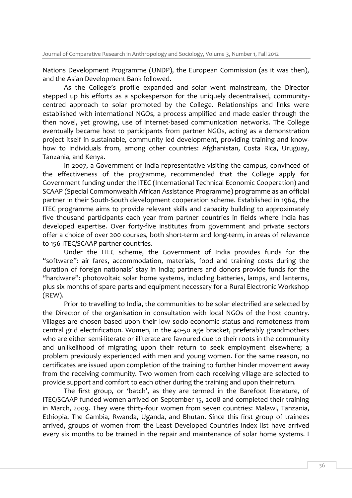Nations Development Programme (UNDP), the European Commission (as it was then), and the Asian Development Bank followed.

As the College's profile expanded and solar went mainstream, the Director stepped up his efforts as a spokesperson for the uniquely decentralised, communitycentred approach to solar promoted by the College. Relationships and links were established with international NGOs, a process amplified and made easier through the then novel, yet growing, use of internet-based communication networks. The College eventually became host to participants from partner NGOs, acting as a demonstration project itself in sustainable, community led development, providing training and knowhow to individuals from, among other countries: Afghanistan, Costa Rica, Uruguay, Tanzania, and Kenya.

In 2007, a Government of India representative visiting the campus, convinced of the effectiveness of the programme, recommended that the College apply for Government funding under the ITEC (International Technical Economic Cooperation) and SCAAP (Special Commonwealth African Assistance Programme) programme as an official partner in their South-South development cooperation scheme. Established in 1964, the ITEC programme aims to provide relevant skills and capacity building to approximately five thousand participants each year from partner countries in fields where India has developed expertise. Over forty-five institutes from government and private sectors offer a choice of over 200 courses, both short-term and long-term, in areas of relevance to 156 ITEC/SCAAP partner countries.

Under the ITEC scheme, the Government of India provides funds for the "software": air fares, accommodation, materials, food and training costs during the duration of foreign nationals' stay in India; partners and donors provide funds for the "hardware": photovoltaic solar home systems, including batteries, lamps, and lanterns, plus six months of spare parts and equipment necessary for a Rural Electronic Workshop (REW).

Prior to travelling to India, the communities to be solar electrified are selected by the Director of the organisation in consultation with local NGOs of the host country. Villages are chosen based upon their low socio-economic status and remoteness from central grid electrification. Women, in the 40-50 age bracket, preferably grandmothers who are either semi-literate or illiterate are favoured due to their roots in the community and unlikelihood of migrating upon their return to seek employment elsewhere; a problem previously experienced with men and young women. For the same reason, no certificates are issued upon completion of the training to further hinder movement away from the receiving community. Two women from each receiving village are selected to provide support and comfort to each other during the training and upon their return.

The first group, or 'batch', as they are termed in the Barefoot literature, of ITEC/SCAAP funded women arrived on September 15, 2008 and completed their training in March, 2009. They were thirty-four women from seven countries: Malawi, Tanzania, Ethiopia, The Gambia, Rwanda, Uganda, and Bhutan. Since this first group of trainees arrived, groups of women from the Least Developed Countries index list have arrived every six months to be trained in the repair and maintenance of solar home systems. I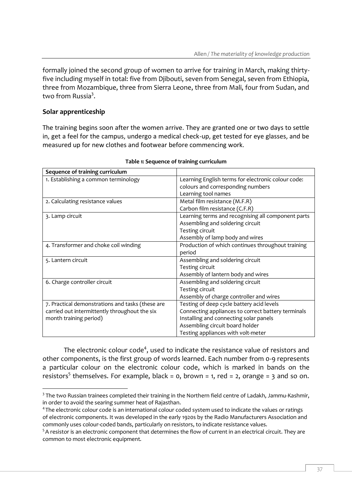formally joined the second group of women to arrive for training in March, making thirtyfive including myself in total: five from Djibouti, seven from Senegal, seven from Ethiopia, three from Mozambique, three from Sierra Leone, three from Mali, four from Sudan, and two from Russia<sup>3</sup>.

#### **Solar apprenticeship**

The training begins soon after the women arrive. They are granted one or two days to settle in, get a feel for the campus, undergo a medical check-up, get tested for eye glasses, and be measured up for new clothes and footwear before commencing work.

| Sequence of training curriculum                  |                                                    |
|--------------------------------------------------|----------------------------------------------------|
| 1. Establishing a common terminology             | Learning English terms for electronic colour code: |
|                                                  | colours and corresponding numbers                  |
|                                                  | Learning tool names                                |
| 2. Calculating resistance values                 | Metal film resistance (M.F.R)                      |
|                                                  | Carbon film resistance (C.F.R)                     |
| 3. Lamp circuit                                  | Learning terms and recognising all component parts |
|                                                  | Assembling and soldering circuit                   |
|                                                  | Testing circuit                                    |
|                                                  | Assembly of lamp body and wires                    |
| 4. Transformer and choke coil winding            | Production of which continues throughout training  |
|                                                  | period                                             |
| 5. Lantern circuit                               | Assembling and soldering circuit                   |
|                                                  | Testing circuit                                    |
|                                                  | Assembly of lantern body and wires                 |
| 6. Charge controller circuit                     | Assembling and soldering circuit                   |
|                                                  | Testing circuit                                    |
|                                                  | Assembly of charge controller and wires            |
| 7. Practical demonstrations and tasks (these are | Testing of deep cycle battery acid levels          |
| carried out intermittently throughout the six    | Connecting appliances to correct battery terminals |
| month training period)                           | Installing and connecting solar panels             |
|                                                  | Assembling circuit board holder                    |
|                                                  | Testing appliances with volt-meter                 |

#### **Table 1: Sequence of training curriculum**

The electronic colour code<sup>4</sup>, used to indicate the resistance value of resistors and other components, is the first group of words learned. Each number from 0-9 represents a particular colour on the electronic colour code, which is marked in bands on the resistors<sup>5</sup> themselves. For example, black =  $0$ , brown =  $1$ , red =  $2$ , orange =  $3$  and so on.

<sup>-</sup><sup>3</sup> The two Russian trainees completed their training in the Northern field centre of Ladakh, Jammu-Kashmir, in order to avoid the searing summer heat of Rajasthan.

<sup>&</sup>lt;sup>4</sup> The electronic colour code is an international colour coded system used to indicate the values or ratings of electronic components. It was developed in the early 1920s by the Radio Manufacturers Association and commonly uses colour-coded bands, particularly on resistors, to indicate resistance values.

 $5A$  resistor is an electronic component that determines the flow of current in an electrical circuit. They are common to most electronic equipment.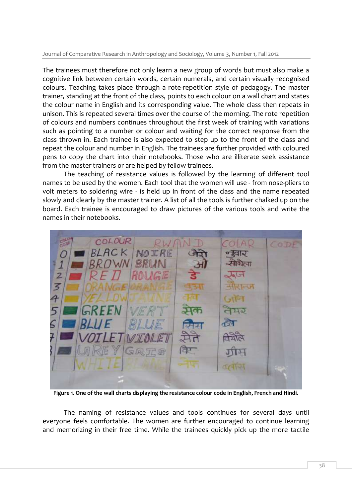The trainees must therefore not only learn a new group of words but must also make a cognitive link between certain words, certain numerals, and certain visually recognised colours. Teaching takes place through a rote-repetition style of pedagogy. The master trainer, standing at the front of the class, points to each colour on a wall chart and states the colour name in English and its corresponding value. The whole class then repeats in unison. This is repeated several times over the course of the morning. The rote repetition of colours and numbers continues throughout the first week of training with variations such as pointing to a number or colour and waiting for the correct response from the class thrown in. Each trainee is also expected to step up to the front of the class and repeat the colour and number in English. The trainees are further provided with coloured pens to copy the chart into their notebooks. Those who are illiterate seek assistance from the master trainers or are helped by fellow trainees.

The teaching of resistance values is followed by the learning of different tool names to be used by the women. Each tool that the women will use - from nose-pliers to volt meters to soldering wire - is held up in front of the class and the name repeated slowly and clearly by the master trainer. A list of all the tools is further chalked up on the board. Each trainee is encouraged to draw pictures of the various tools and write the names in their notebooks.



**Figure 1. One of the wall charts displaying the resistance colour code in English, French and Hindi.**

The naming of resistance values and tools continues for several days until everyone feels comfortable. The women are further encouraged to continue learning and memorizing in their free time. While the trainees quickly pick up the more tactile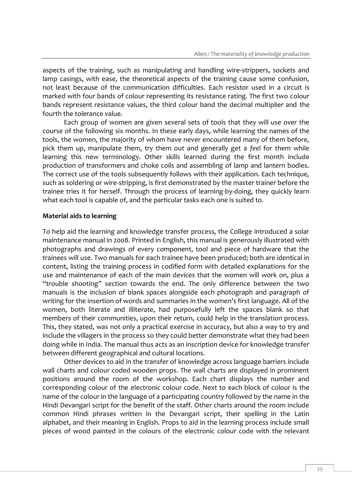aspects of the training, such as manipulating and handling wire-strippers, sockets and lamp casings, with ease, the theoretical aspects of the training cause some confusion, not least because of the communication difficulties. Each resistor used in a circuit is marked with four bands of colour representing its resistance rating. The first two colour bands represent resistance values, the third colour band the decimal multiplier and the fourth the tolerance value.

Each group of women are given several sets of tools that they will use over the course of the following six months. In these early days, while learning the names of the tools, the women, the majority of whom have never encountered many of them before, pick them up, manipulate them, try them out and generally get a *feel* for them while learning this new terminology. Other skills learned during the first month include production of transformers and choke coils and assembling of lamp and lantern bodies. The correct use of the tools subsequently follows with their application. Each technique, such as soldering or wire-stripping, is first demonstrated by the master trainer before the trainee tries it for herself. Through the process of learning-by-doing, they quickly learn what each tool is capable of, and the particular tasks each one is suited to.

#### **Material aids to learning**

To help aid the learning and knowledge transfer process, the College introduced a solar maintenance manual in 2008. Printed in English, this manual is generously illustrated with photographs and drawings of every component, tool and piece of hardware that the trainees will use. Two manuals for each trainee have been produced; both are identical in content, listing the training process in codified form with detailed explanations for the use and maintenance of each of the main devices that the women will work on, plus a "trouble shooting" section towards the end. The only difference between the two manuals is the inclusion of blank spaces alongside each photograph and paragraph of writing for the insertion of words and summaries in the women's first language. All of the women, both literate and illiterate, had purposefully left the spaces blank so that members of their communities, upon their return, could help in the translation process. This, they stated, was not only a practical exercise in accuracy, but also a way to try and include the villagers in the process so they could better demonstrate what they had been doing while in India. The manual thus acts as an inscription device for knowledge transfer between different geographical and cultural locations.

Other devices to aid in the transfer of knowledge across language barriers include wall charts and colour coded wooden props. The wall charts are displayed in prominent positions around the room of the workshop. Each chart displays the number and corresponding colour of the electronic colour code. Next to each block of colour is the name of the colour in the language of a participating country followed by the name in the Hindi Devangari script for the benefit of the staff. Other charts around the room include common Hindi phrases written in the Devangari script, their spelling in the Latin alphabet, and their meaning in English. Props to aid in the learning process include small pieces of wood painted in the colours of the electronic colour code with the relevant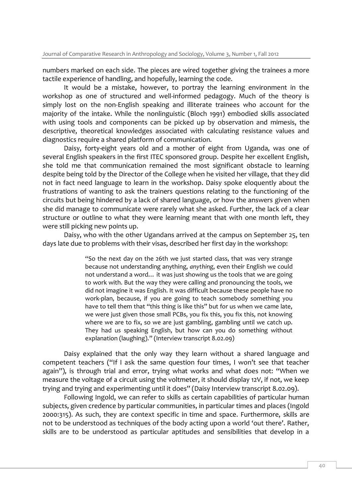numbers marked on each side. The pieces are wired together giving the trainees a more tactile experience of handling, and hopefully, learning the code.

It would be a mistake, however, to portray the learning environment in the workshop as one of structured and well-informed pedagogy. Much of the theory is simply lost on the non-English speaking and illiterate trainees who account for the majority of the intake. While the nonlinguistic (Bloch 1991) embodied skills associated with using tools and components can be picked up by observation and mimesis, the descriptive, theoretical knowledges associated with calculating resistance values and diagnostics require a shared platform of communication.

Daisy, forty-eight years old and a mother of eight from Uganda, was one of several English speakers in the first ITEC sponsored group. Despite her excellent English, she told me that communication remained the most significant obstacle to learning despite being told by the Director of the College when he visited her village, that they did not in fact need language to learn in the workshop. Daisy spoke eloquently about the frustrations of wanting to ask the trainers questions relating to the functioning of the circuits but being hindered by a lack of shared language, or how the answers given when she did manage to communicate were rarely what she asked. Further, the lack of a clear structure or outline to what they were learning meant that with one month left, they were still picking new points up.

Daisy, who with the other Ugandans arrived at the campus on September 25, ten days late due to problems with their visas, described her first day in the workshop:

> "So the next day on the 26th we just started class, that was very strange because not understanding anything, *anything*, even their English we could not understand a word… it was just showing us the tools that we are going to work with. But the way they were calling and pronouncing the tools, we did not imagine it was English. It was difficult because these people have no work-plan, because, if you are going to teach somebody something you have to tell them that "this thing is like this" but for us when we came late, we were just given those small PCBs, you fix this, you fix this, not knowing where we are to fix, so we are just gambling, gambling until we catch up. They had us speaking English, but how can you do something without explanation (laughing)." (Interview transcript 8.02.09)

Daisy explained that the only way they learn without a shared language and competent teachers ("If I ask the same question four times, I won't see that teacher again"), is through trial and error, trying what works and what does not: "When we measure the voltage of a circuit using the voltmeter, it should display 12V, if not, we keep trying and trying and experimenting until it does" (Daisy Interview transcript 8.02.09).

Following Ingold, we can refer to skills as certain capabilities of particular human subjects, given credence by particular communities, in particular times and places (Ingold 2000:315). As such, they are context specific in time and space. Furthermore, skills are not to be understood as techniques of the body acting upon a world 'out there'. Rather, skills are to be understood as particular aptitudes and sensibilities that develop in a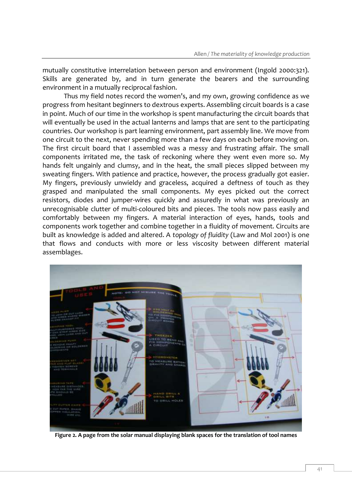mutually constitutive interrelation between person and environment (Ingold 2000:321). Skills are generated by, and in turn generate the bearers and the surrounding environment in a mutually reciprocal fashion.

Thus my field notes record the women's, and my own, growing confidence as we progress from hesitant beginners to dextrous experts. Assembling circuit boards is a case in point. Much of our time in the workshop is spent manufacturing the circuit boards that will eventually be used in the actual lanterns and lamps that are sent to the participating countries. Our workshop is part learning environment, part assembly line. We move from one circuit to the next, never spending more than a few days on each before moving on. The first circuit board that I assembled was a messy and frustrating affair. The small components irritated me, the task of reckoning where they went even more so. My hands felt ungainly and clumsy, and in the heat, the small pieces slipped between my sweating fingers. With patience and practice, however, the process gradually got easier. My fingers, previously unwieldy and graceless, acquired a deftness of touch as they grasped and manipulated the small components. My eyes picked out the correct resistors, diodes and jumper-wires quickly and assuredly in what was previously an unrecognisable clutter of multi-coloured bits and pieces. The tools now pass easily and comfortably between my fingers. A material interaction of eyes, hands, tools and components work together and combine together in a fluidity of movement. Circuits are built as knowledge is added and altered. A *topology of fluidity* (Law and Mol 2001) is one that flows and conducts with more or less viscosity between different material assemblages.



**Figure 2. A page from the solar manual displaying blank spaces for the translation of tool names**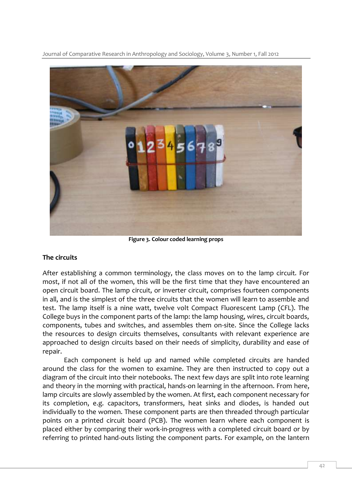Journal of Comparative Research in Anthropology and Sociology, Volume 3, Number 1, Fall 2012



**Figure 3. Colour coded learning props**

#### **The circuits**

After establishing a common terminology, the class moves on to the lamp circuit. For most, if not all of the women, this will be the first time that they have encountered an open circuit board. The lamp circuit, or inverter circuit, comprises fourteen components in all, and is the simplest of the three circuits that the women will learn to assemble and test. The lamp itself is a nine watt, twelve volt Compact Fluorescent Lamp (CFL). The College buys in the component parts of the lamp: the lamp housing, wires, circuit boards, components, tubes and switches, and assembles them on-site. Since the College lacks the resources to design circuits themselves, consultants with relevant experience are approached to design circuits based on their needs of simplicity, durability and ease of repair.

Each component is held up and named while completed circuits are handed around the class for the women to examine. They are then instructed to copy out a diagram of the circuit into their notebooks. The next few days are split into rote learning and theory in the morning with practical, hands-on learning in the afternoon. From here, lamp circuits are slowly assembled by the women. At first, each component necessary for its completion, e.g. capacitors, transformers, heat sinks and diodes, is handed out individually to the women. These component parts are then threaded through particular points on a printed circuit board (PCB). The women learn where each component is placed either by comparing their work-in-progress with a completed circuit board or by referring to printed hand-outs listing the component parts. For example, on the lantern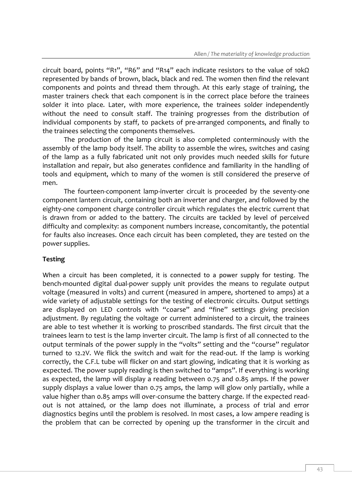circuit board, points "R1", "R6" and "R14" each indicate resistors to the value of 10k $\Omega$ represented by bands of brown, black, black and red. The women then find the relevant components and points and thread them through. At this early stage of training, the master trainers check that each component is in the correct place before the trainees solder it into place. Later, with more experience, the trainees solder independently without the need to consult staff. The training progresses from the distribution of individual components by staff, to packets of pre-arranged components, and finally to the trainees selecting the components themselves.

The production of the lamp circuit is also completed conterminously with the assembly of the lamp body itself. The ability to assemble the wires, switches and casing of the lamp as a fully fabricated unit not only provides much needed skills for future installation and repair, but also generates confidence and familiarity in the handling of tools and equipment, which to many of the women is still considered the preserve of men.

The fourteen-component lamp-inverter circuit is proceeded by the seventy-one component lantern circuit, containing both an inverter and charger, and followed by the eighty-one component charge controller circuit which regulates the electric current that is drawn from or added to the battery. The circuits are tackled by level of perceived difficulty and complexity: as component numbers increase, concomitantly, the potential for faults also increases. Once each circuit has been completed, they are tested on the power supplies.

## **Testing**

When a circuit has been completed, it is connected to a power supply for testing. The bench-mounted digital dual-power supply unit provides the means to regulate output voltage (measured in volts) and current (measured in ampere, shortened to amps) at a wide variety of adjustable settings for the testing of electronic circuits. Output settings are displayed on LED controls with "coarse" and "fine" settings giving precision adjustment. By regulating the voltage or current administered to a circuit, the trainees are able to test whether it is working to proscribed standards. The first circuit that the trainees learn to test is the lamp inverter circuit. The lamp is first of all connected to the output terminals of the power supply in the "volts" setting and the "course" regulator turned to 12.2V. We flick the switch and wait for the read-out. If the lamp is working correctly, the C.F.L tube will flicker on and start glowing, indicating that it is working as expected. The power supply reading is then switched to "amps". If everything is working as expected, the lamp will display a reading between 0.75 and 0.85 amps. If the power supply displays a value lower than 0.75 amps, the lamp will glow only partially, while a value higher than 0.85 amps will over-consume the battery charge. If the expected readout is not attained, or the lamp does not illuminate, a process of trial and error diagnostics begins until the problem is resolved. In most cases, a low ampere reading is the problem that can be corrected by opening up the transformer in the circuit and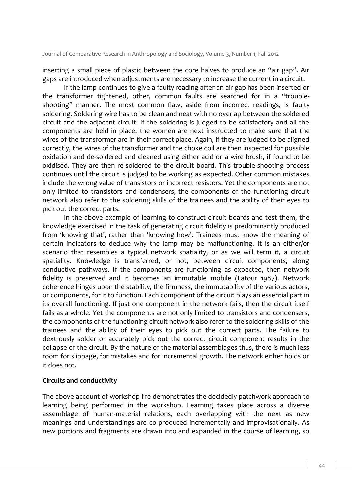inserting a small piece of plastic between the core halves to produce an "air gap". Air gaps are introduced when adjustments are necessary to increase the current in a circuit.

If the lamp continues to give a faulty reading after an air gap has been inserted or the transformer tightened, other, common faults are searched for in a "troubleshooting" manner. The most common flaw, aside from incorrect readings, is faulty soldering. Soldering wire has to be clean and neat with no overlap between the soldered circuit and the adjacent circuit. If the soldering is judged to be satisfactory and all the components are held in place, the women are next instructed to make sure that the wires of the transformer are in their correct place. Again, if they are judged to be aligned correctly, the wires of the transformer and the choke coil are then inspected for possible oxidation and de-soldered and cleaned using either acid or a wire brush, if found to be oxidised. They are then re-soldered to the circuit board. This trouble-shooting process continues until the circuit is judged to be working as expected. Other common mistakes include the wrong value of transistors or incorrect resistors. Yet the components are not only limited to transistors and condensers, the components of the functioning circuit network also refer to the soldering skills of the trainees and the ability of their eyes to pick out the correct parts.

In the above example of learning to construct circuit boards and test them, the knowledge exercised in the task of generating circuit fidelity is predominantly produced from 'knowing that', rather than 'knowing how'. Trainees must know the meaning of certain indicators to deduce why the lamp may be malfunctioning. It is an either/or scenario that resembles a typical network spatiality, or as we will term it, a circuit spatiality. Knowledge is transferred, or not, between circuit components, along conductive pathways. If the components are functioning as expected, then network fidelity is preserved and it becomes an immutable mobile (Latour 1987). Network coherence hinges upon the stability, the firmness, the immutability of the various actors, or components, for it to function. Each component of the circuit plays an essential part in its overall functioning. If just one component in the network fails, then the circuit itself fails as a whole. Yet the components are not only limited to transistors and condensers, the components of the functioning circuit network also refer to the soldering skills of the trainees and the ability of their eyes to pick out the correct parts. The failure to dextrously solder or accurately pick out the correct circuit component results in the collapse of the circuit. By the nature of the material assemblages thus, there is much less room for slippage, for mistakes and for incremental growth. The network either holds or it does not.

#### **Circuits and conductivity**

The above account of workshop life demonstrates the decidedly patchwork approach to learning being performed in the workshop. Learning takes place across a diverse assemblage of human-material relations, each overlapping with the next as new meanings and understandings are co-produced incrementally and improvisationally. As new portions and fragments are drawn into and expanded in the course of learning, so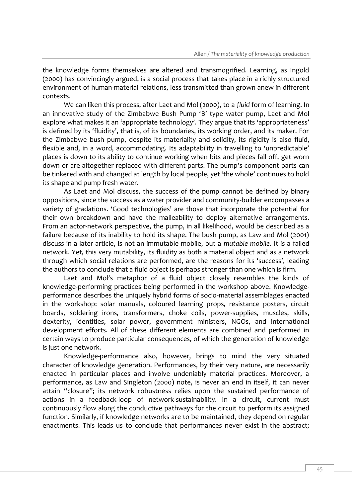the knowledge forms themselves are altered and transmogrified. Learning, as Ingold (2000) has convincingly argued, is a social process that takes place in a richly structured environment of human-material relations, less transmitted than grown anew in different contexts.

We can liken this process, after Laet and Mol (2000), to a *fluid* form of learning. In an innovative study of the Zimbabwe Bush Pump 'B' type water pump, Laet and Mol explore what makes it an 'appropriate technology'. They argue that its 'appropriateness' is defined by its 'fluidity', that is, of its boundaries, its working order, and its maker. For the Zimbabwe bush pump, despite its materiality and solidity, its rigidity is also fluid, flexible and, in a word, accommodating. Its adaptability in travelling to 'unpredictable' places is down to its ability to continue working when bits and pieces fall off, get worn down or are altogether replaced with different parts. The pump's component parts can be tinkered with and changed at length by local people, yet 'the whole' continues to hold its shape and pump fresh water.

As Laet and Mol discuss, the success of the pump cannot be defined by binary oppositions, since the success as a water provider and community-builder encompasses a variety of gradations. 'Good technologies' are those that incorporate the potential for their own breakdown and have the malleability to deploy alternative arrangements. From an actor-network perspective, the pump, in all likelihood, would be described as a failure because of its inability to hold its shape. The bush pump, as Law and Mol (2001) discuss in a later article, is not an immutable mobile, but a *mutable mobile*. It is a failed network. Yet, this very mutability, its fluidity as both a material object and as a network through which social relations are performed, are the reasons for its 'success', leading the authors to conclude that a fluid object is perhaps stronger than one which is firm.

Laet and Mol's metaphor of a fluid object closely resembles the kinds of knowledge-performing practices being performed in the workshop above. Knowledgeperformance describes the uniquely hybrid forms of socio-material assemblages enacted in the workshop: solar manuals, coloured learning props, resistance posters, circuit boards, soldering irons, transformers, choke coils, power-supplies, muscles, skills, dexterity, identities, solar power, government ministers, NGOs, and international development efforts. All of these different elements are combined and performed in certain ways to produce particular consequences, of which the generation of knowledge is just one network.

Knowledge-performance also, however, brings to mind the very situated character of knowledge generation. Performances, by their very nature, are necessarily enacted in particular places and involve undeniably material practices. Moreover, a performance, as Law and Singleton (2000) note, is never an end in itself, it can never attain "closure"; its network robustness relies upon the sustained performance of actions in a feedback-loop of network-sustainability. In a circuit, current must continuously flow along the conductive pathways for the circuit to perform its assigned function. Similarly, if knowledge networks are to be maintained, they depend on regular enactments. This leads us to conclude that performances never exist in the abstract;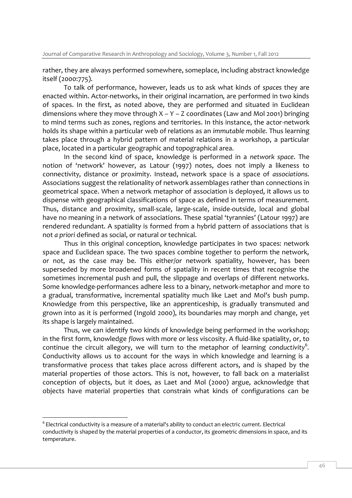rather, they are always performed somewhere, someplace, including abstract knowledge itself (2000:775).

To talk of performance, however, leads us to ask what kinds of *spaces* they are enacted within. Actor-networks, in their original incarnation, are performed in two kinds of spaces. In the first, as noted above, they are performed and situated in Euclidean dimensions where they move through  $X - Y - Z$  coordinates (Law and Mol 2001) bringing to mind terms such as zones, regions and territories. In this instance, the actor-network holds its shape within a particular web of relations as an *immutable mobile.* Thus learning takes place through a hybrid pattern of material relations in a workshop, a particular place, located in a particular geographic and topographical area.

In the second kind of space, knowledge is performed in a *network space*. The notion of 'network' however, as Latour (1997) notes, does not imply a likeness to connectivity, distance or proximity. Instead, network space is a space of *associations.*  Associations suggest the relationality of network assemblages rather than connections in geometrical space. When a network metaphor of association is deployed, it allows us to dispense with geographical classifications of space as defined in terms of measurement. Thus, distance and proximity, small-scale, large-scale, inside-outside, local and global have no meaning in a network of associations. These spatial 'tyrannies' (Latour 1997) are rendered redundant. A spatiality is formed from a hybrid pattern of associations that is not *a priori* defined as social, or natural or technical.

Thus in this original conception, knowledge participates in two spaces: network space and Euclidean space. The two spaces combine together to perform the network, or not, as the case may be. This either/or network spatiality, however, has been superseded by more broadened forms of spatiality in recent times that recognise the sometimes incremental push and pull, the slippage and overlaps of different networks. Some knowledge-performances adhere less to a binary, network-metaphor and more to a gradual, transformative, incremental spatiality much like Laet and Mol's bush pump. Knowledge from this perspective, like an apprenticeship, is gradually transmuted and grown into as it is performed (Ingold 2000), its boundaries may morph and change, yet its shape is largely maintained.

Thus, we can identify two kinds of knowledge being performed in the workshop; in the first form, knowledge *flows* with more or less viscosity. A fluid-like spatiality, or, to continue the circuit allegory, we will turn to the metaphor of learning conductivity<sup>6</sup>. Conductivity allows us to account for the ways in which knowledge and learning is a transformative process that takes place across different actors, and is shaped by the material properties of those actors. This is not, however, to fall back on a materialist conception of objects, but it does, as Laet and Mol (2000) argue, acknowledge that objects have material properties that constrain what kinds of configurations can be

-

 $^6$  Electrical conductivity is a measure of a material's ability to conduct an electric current. Electrical conductivity is shaped by the material properties of a conductor, its geometric dimensions in space, and its temperature.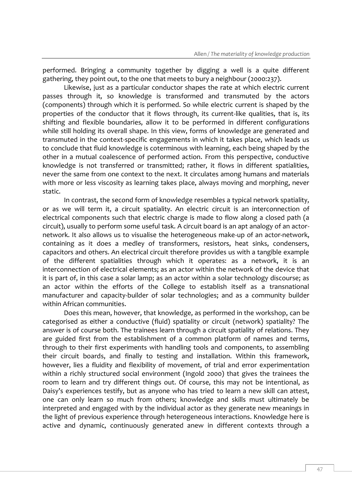performed. Bringing a community together by digging a well is a quite different gathering, they point out, to the one that meets to bury a neighbour (2000:237).

Likewise, just as a particular conductor shapes the rate at which electric current passes through it, so knowledge is transformed and transmuted by the actors (components) through which it is performed. So while electric current is shaped by the properties of the conductor that it flows through, its current-like qualities, that is, its shifting and flexible boundaries, allow it to be performed in different configurations while still holding its overall shape. In this view, forms of knowledge are generated and transmuted in the context-specific engagements in which it takes place, which leads us to conclude that fluid knowledge is coterminous with learning, each being shaped by the other in a mutual coalescence of performed action. From this perspective, conductive knowledge is not transferred or transmitted; rather, it flows in different spatialities, never the same from one context to the next. It circulates among humans and materials with more or less viscosity as learning takes place, always moving and morphing, never static.

In contrast, the second form of knowledge resembles a typical network spatiality, or as we will term it, a circuit spatiality. An electric circuit is an interconnection of electrical components such that electric charge is made to flow along a closed path (a circuit), usually to perform some useful task. A circuit board is an apt analogy of an actornetwork. It also allows us to visualise the heterogeneous make-up of an actor-network, containing as it does a medley of transformers, resistors, heat sinks, condensers, capacitors and others. An electrical circuit therefore provides us with a tangible example of the different spatialities through which it operates: as a network, it is an interconnection of electrical elements; as an actor within the network of the device that it is part of, in this case a solar lamp; as an actor within a solar technology discourse; as an actor within the efforts of the College to establish itself as a transnational manufacturer and capacity-builder of solar technologies; and as a community builder within African communities.

Does this mean, however, that knowledge, as performed in the workshop, can be categorised as either a conductive (fluid) spatiality or circuit (network) spatiality? The answer is of course both. The trainees learn through a circuit spatiality of relations. They are guided first from the establishment of a common platform of names and terms, through to their first experiments with handling tools and components, to assembling their circuit boards, and finally to testing and installation. Within this framework, however, lies a fluidity and flexibility of movement, of trial and error experimentation within a richly structured social environment (Ingold 2000) that gives the trainees the room to learn and try different things out. Of course, this may not be intentional, as Daisy's experiences testify, but as anyone who has tried to learn a new skill can attest, one can only learn so much from others; knowledge and skills must ultimately be interpreted and engaged with by the individual actor as they generate new meanings in the light of previous experience through heterogeneous interactions. Knowledge here is active and dynamic, continuously generated anew in different contexts through a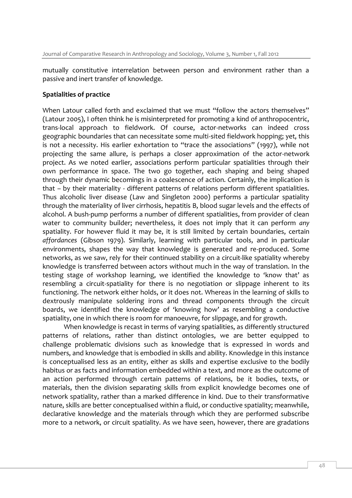mutually constitutive interrelation between person and environment rather than a passive and inert transfer of knowledge.

#### **Spatialities of practice**

When Latour called forth and exclaimed that we must "follow the actors themselves" (Latour 2005), I often think he is misinterpreted for promoting a kind of anthropocentric, trans-local approach to fieldwork. Of course, actor-networks can indeed cross geographic boundaries that can necessitate some multi-sited fieldwork hopping; yet, this is not a necessity. His earlier exhortation to "trace the associations" (1997), while not projecting the same allure, is perhaps a closer approximation of the actor-network project. As we noted earlier, associations perform particular spatialities through their own performance in space. The two go together, each shaping and being shaped through their dynamic becomings in a coalescence of action. Certainly, the implication is that – by their materiality - different patterns of relations perform different spatialities. Thus alcoholic liver disease (Law and Singleton 2000) performs a particular spatiality through the materiality of liver cirrhosis, hepatitis B, blood sugar levels and the effects of alcohol. A bush-pump performs a number of different spatialities, from provider of clean water to community builder; nevertheless, it does not imply that it can perform *any*  spatiality. For however fluid it may be, it is still limited by certain boundaries, certain *affordances* (Gibson 1979). Similarly, learning with particular tools, and in particular environments, shapes the way that knowledge is generated and re-produced. Some networks, as we saw, rely for their continued stability on a circuit-like spatiality whereby knowledge is transferred between actors without much in the way of translation. In the testing stage of workshop learning, we identified the knowledge to 'know that' as resembling a circuit-spatiality for there is no negotiation or slippage inherent to its functioning. The network either holds, or it does not. Whereas in the learning of skills to dextrously manipulate soldering irons and thread components through the circuit boards, we identified the knowledge of 'knowing how' as resembling a conductive spatiality, one in which there is room for manoeuvre, for slippage, and for growth.

When knowledge is recast in terms of varying spatialities, as differently structured patterns of relations, rather than distinct ontologies, we are better equipped to challenge problematic divisions such as knowledge that is expressed in words and numbers, and knowledge that is embodied in skills and ability. Knowledge in this instance is conceptualised less as an entity, either as skills and expertise exclusive to the bodily habitus or as facts and information embedded within a text, and more as the outcome of an action performed through certain patterns of relations, be it bodies, texts, or materials, then the division separating skills from explicit knowledge becomes one of network spatiality, rather than a marked difference in kind. Due to their transformative nature, skills are better conceptualised within a fluid, or conductive spatiality; meanwhile, declarative knowledge and the materials through which they are performed subscribe more to a network, or circuit spatiality. As we have seen, however, there are gradations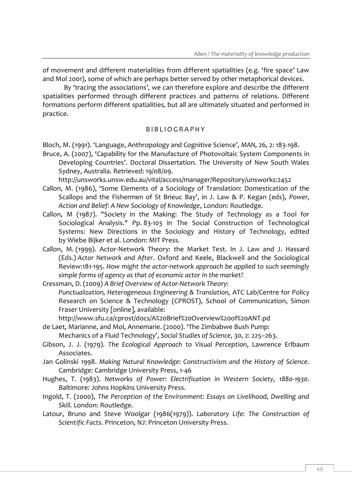of movement and different materialities from different spatialities (e.g. 'fire space' Law and Mol 2001), some of which are perhaps better served by other metaphorical devices.

By 'tracing the associations', we can therefore explore and describe the different spatialities performed through different practices and patterns of relations. Different formations perform different spatialities, but all are ultimately situated and performed in practice.

#### B I B L I O G R A P H Y

Bloch, M. (1991). 'Language, Anthropology and Cognitive Science', *MAN,* 26, 2: 183-198.

Bruce, A. (2007), 'Capability for the Manufacture of Photovoltaic System Components in Developing Countries'. Doctoral Dissertation. The University of New South Wales Sydney, Australia. Retrieved: 19/08/09.

http://unsworks.unsw.edu.au/vital/access/manager/Repository/unsworks:2452

- Callon, M. (1986), 'Some Elements of a Sociology of Translation: Domestication of the Scallops and the Fishermen of St Brieuc Bay', in J. Law & P. Kegan (eds), *Power, Action and Belief: A New Sociology of Knowledge*, London: Routledge.
- Callon, M (1987). "Society in the Making: The Study of Technology as a Tool for Sociological Analysis." Pp. 83-103 in The Social Construction of Technological Systems: New Directions in the Sociology and History of Technology, edited by Wiebe Bijker et al. London: MIT Press.
- Callon, M. (1999). Actor-Network Theory: the Market Test. In J. Law and J. Hassard (Eds.) *Actor Network and After*. Oxford and Keele, Blackwell and the Sociological Review:181-195. *How might the actor-network approach be applied to such seemingly simple forms of agency as that of economic actor in the market?*
- Cressman, D. (2009) *A Brief Overview of Actor-Network Theory: Punctualization, Heterogeneous Engineering & Translation,* ATC Lab/Centre for Policy Research on Science & Technology (CPROST), School of Communication, Simon Fraser University [online], available:

http://www.sfu.ca/cprost/docs/A%20Brief%20Overview%20of%20ANT.pd

de Laet, Marianne, and Mol, Annemarie. (2000). 'The Zimbabwe Bush Pump:

Mechanics of a Fluid Technology', *Social Studies of Science*, 30, 2: 225–263.

- Gibson, J. J. (1979). *The Ecological Approach to Visual Perception*, Lawrence Erlbaum Associates.
- Jan Golinski 1998. *Making Natural Knowledge: Constructivism and the History of Science*. Cambridge: Cambridge University Press, 1-46
- Hughes, T. (1983). *Networks of Power: Electrification in Western Society, 1880-1930*. Baltimore: Johns Hopkins University Press.
- Ingold, T. (2000), *The Perception of the Environment: Essays on Livelihood, Dwelling and Skill*. London: Routledge.
- Latour, Bruno and Steve Woolgar (1986(1979)). *Laboratory Life: The Construction of Scientific Facts*. Princeton, NJ: Princeton University Press.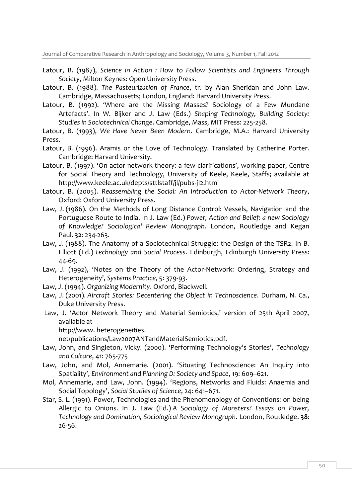- Latour, B. (1987), *Science in Action : How to Follow Scientists and Engineers Through Society*, Milton Keynes: Open University Press.
- Latour, B. (1988). *The Pasteurization of France*, tr. by Alan Sheridan and John Law. Cambridge, Massachusetts; London, England: Harvard University Press.
- Latour, B. (1992). 'Where are the Missing Masses? Sociology of a Few Mundane Artefacts'. In W. Bijker and J. Law (Eds.) *Shaping Technology, Building Society: Studies in Sociotechnical Change*. Cambridge, Mass, MIT Press: 225-258.

Latour, B. (1993), *We Have Never Been Modern*. Cambridge, M.A.: Harvard University Press.

- Latour, B. (1996). Aramis or the Love of Technology. Translated by Catherine Porter. Cambridge: Harvard University.
- Latour, B. (1997). 'On actor-network theory: a few clarifications', working paper, Centre for Social Theory and Technology, University of Keele, Keele, Staffs; available at http://www.keele.ac.uk/depts/sttlstaff/jl/pubs-jI2.htm
- Latour, B. (2005). *Reassembling the Social: An Introduction to Actor-Network Theory*, Oxford: Oxford University Press.
- Law, J. (1986). On the Methods of Long Distance Control: Vessels, Navigation and the Portuguese Route to India. In J. Law (Ed.) *Power, Action and Belief: a new Sociology of Knowledge? Sociological Review Monograph*. London, Routledge and Kegan Paul. **32**: 234-263.
- Law, J. (1988). The Anatomy of a Sociotechnical Struggle: the Design of the TSR2. In B. Elliott (Ed.) *Technology and Social Process*. Edinburgh, Edinburgh University Press: 44-69.
- Law, J. (1992), 'Notes on the Theory of the Actor-Network: Ordering, Strategy and Heterogeneity', *Systems Practice*, 5: 379-93.
- Law, J. (1994). *Organizing Modernity*. Oxford, Blackwell.
- Law, J. (2001). *Aircraft Stories: Decentering the Object in Technoscience*. Durham, N. Ca., Duke University Press.
- Law, J. 'Actor Network Theory and Material Semiotics,' version of 25th April 2007, available at

http://www. heterogeneities.

net/publications/Law2007ANTandMaterialSemiotics.pdf.

- Law, John, and Singleton, Vicky. (2000). 'Performing Technology's Stories', *Technology and Culture*, 41: 765-775
- Law, John, and Mol, Annemarie. (2001). 'Situating Technoscience: An Inquiry into Spatiality', *Environment and Planning D: Society and Space*, 19: 609–621.
- Mol, Annemarie, and Law, John. (1994). 'Regions, Networks and Fluids: Anaemia and Social Topology', *Social Studies of Science*, 24: 641–671.
- Star, S. L. (1991). Power, Technologies and the Phenomenology of Conventions: on being Allergic to Onions. In J. Law (Ed.) *A Sociology of Monsters? Essays on Power, Technology and Domination, Sociological Review Monograph*. London, Routledge. **38**: 26-56.